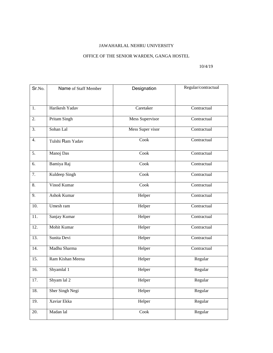## JAWAHARLAL NEHRU UNIVERSITY

## OFFICE OF THE SENIOR WARDEN, GANGA HOSTEL

## 10/4/19

| Sr.No.            | Name of Staff Member | Designation      | Regular/contractual |
|-------------------|----------------------|------------------|---------------------|
|                   |                      |                  |                     |
| 1.                | Harikesh Yadav       | Caretaker        | Contractual         |
|                   |                      |                  |                     |
| 2.                | Pritam Singh         | Mess Supervisor  | Contractual         |
| 3.                | Sohan Lal            | Mess Super visor | Contractual         |
| 4.                | Tulshi Ram Yadav     | Cook             | Contractual         |
| 5.                | Manoj Das            | Cook             | Contractual         |
| 6.                | Bamiya Raj           | Cook             | Contractual         |
| 7.                | Kuldeep Singh        | Cook             | Contractual         |
| 8.                | Vinod Kumar          | Cook             | Contractual         |
| 9.                | <b>Ashok Kumar</b>   | Helper           | Contractual         |
| 10.               | Umesh ram            | Helper           | Contractual         |
| 11.               | Sanjay Kumar         | Helper           | Contractual         |
| 12.               | Mohit Kumar          | Helper           | Contractual         |
| 13.               | Sunita Devi          | Helper           | Contractual         |
| 14.               | Madhu Sharma         | Helper           | Contractual         |
| 15.               | Ram Kishan Meena     | Helper           | Regular             |
| 16.               | Shyamlal 1           | Helper           | Regular             |
| 17.               | Shyam lal 2          | Helper           | Regular             |
| 18.               | Sher Singh Negi      | Helper           | Regular             |
| 19.               | Xaviar Ekka          | Helper           | Regular             |
| $\overline{20}$ . | Madan lal            | Cook             | Regular             |